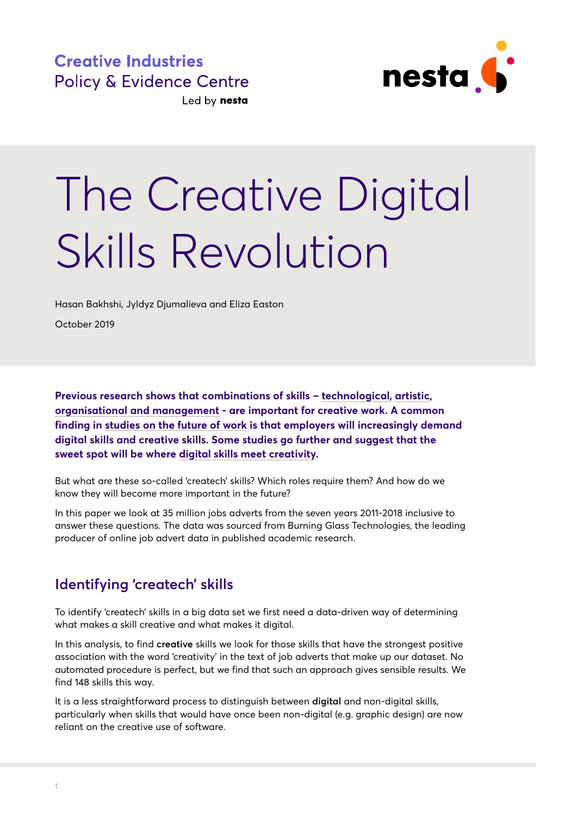

# The Creative Digital Skills Revolution

Hasan Bakhshi, Jyldyz Djumalieva and Eliza Easton

October 2019

**Previous research shows that combinations of skills – [technological](https://www.nesta.org.uk/report/next-gen/), [artistic,](https://www.nesta.org.uk/blog/the-fusion-effect-how-firms-gain-from-combining-arts-and-science-skills/) [organisational and management](https://www.pec.ac.uk/research-reports/creativity-and-the-future-of-sk) - are important for creative work. A common finding in studies [on the future of work](https://www.nesta.org.uk/report/the-future-of-skills-employment-in-2030/) is that employers will increasingly demand digital skills and creative skills. Some studies go further and suggest that the sweet spot will be where [digital skills meet creativity.](https://www.nesta.org.uk/report/which-digital-skills-do-you-really-need/)**

But what are these so-called 'createch' skills? Which roles require them? And how do we know they will become more important in the future?

In this paper we look at 35 million jobs adverts from the seven years 2011-2018 inclusive to answer these questions. The data was sourced from Burning Glass Technologies, the leading producer of online job advert data in published academic research.

# **Identifying 'createch' skills**

To identify 'createch' skills in a big data set we first need a data-driven way of determining what makes a skill creative and what makes it digital.

In this analysis, to find **creative** skills we look for those skills that have the strongest positive association with the word 'creativity' in the text of job adverts that make up our dataset. No automated procedure is perfect, but we find that such an approach gives sensible results. We find 148 skills this way.

It is a less straightforward process to distinguish between **digital** and non-digital skills, particularly when skills that would have once been non-digital (e.g. graphic design) are now reliant on the creative use of software.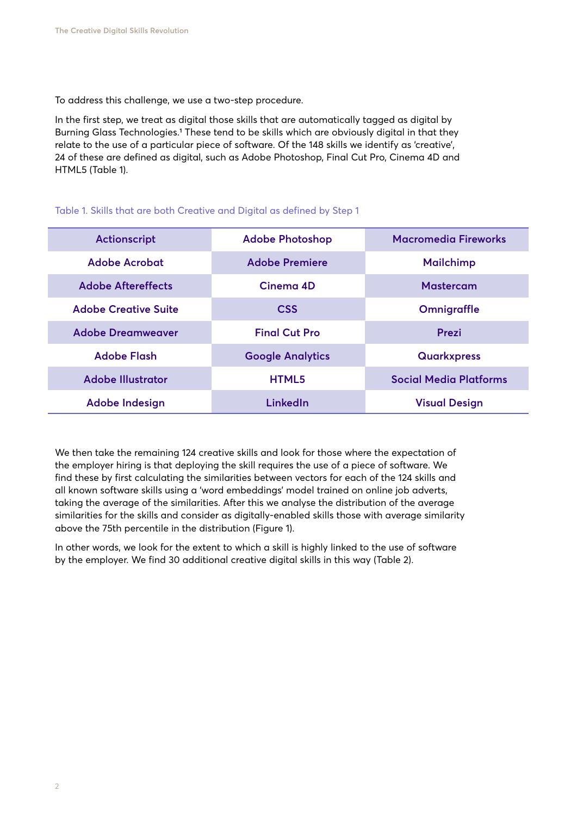To address this challenge, we use a two-step procedure.

In the first step, we treat as digital those skills that are automatically tagged as digital by Burning Glass Technologies.1 These tend to be skills which are obviously digital in that they relate to the use of a particular piece of software. Of the 148 skills we identify as 'creative', 24 of these are defined as digital, such as Adobe Photoshop, Final Cut Pro, Cinema 4D and HTML5 (Table 1).

| Actionscript                | <b>Adobe Photoshop</b>  | <b>Macromedia Fireworks</b>   |
|-----------------------------|-------------------------|-------------------------------|
| Adobe Acrobat               | <b>Adobe Premiere</b>   | <b>Mailchimp</b>              |
| <b>Adobe Aftereffects</b>   | Cinema 4D               | <b>Mastercam</b>              |
| <b>Adobe Creative Suite</b> | <b>CSS</b>              | Omnigraffle                   |
| <b>Adobe Dreamweaver</b>    | <b>Final Cut Pro</b>    | Prezi                         |
| <b>Adobe Flash</b>          | <b>Google Analytics</b> | <b>Quarkxpress</b>            |
| <b>Adobe Illustrator</b>    | <b>HTML5</b>            | <b>Social Media Platforms</b> |
| <b>Adobe Indesign</b>       | LinkedIn                | <b>Visual Design</b>          |

#### Table 1. Skills that are both Creative and Digital as defined by Step 1

We then take the remaining 124 creative skills and look for those where the expectation of the employer hiring is that deploying the skill requires the use of a piece of software. We find these by first calculating the similarities between vectors for each of the 124 skills and all known software skills using a 'word embeddings' model trained on online job adverts, taking the average of the similarities. After this we analyse the distribution of the average similarities for the skills and consider as digitally-enabled skills those with average similarity above the 75th percentile in the distribution (Figure 1).

In other words, we look for the extent to which a skill is highly linked to the use of software by the employer. We find 30 additional creative digital skills in this way (Table 2).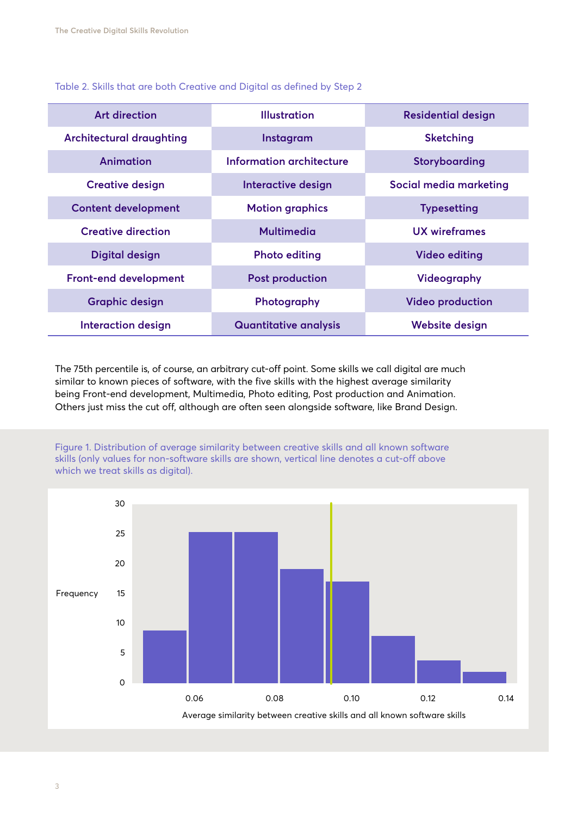Table 2. Skills that are both Creative and Digital as defined by Step 2

| <b>Art direction</b>            | <b>Illustration</b>          | <b>Residential design</b> |
|---------------------------------|------------------------------|---------------------------|
| <b>Architectural draughting</b> | Instagram                    | <b>Sketching</b>          |
| Animation                       | Information architecture     | Storyboarding             |
| <b>Creative design</b>          | Interactive design           | Social media marketing    |
| <b>Content development</b>      | <b>Motion graphics</b>       | <b>Typesetting</b>        |
| <b>Creative direction</b>       | <b>Multimedia</b>            | UX wireframes             |
| <b>Digital design</b>           | <b>Photo editing</b>         | <b>Video editing</b>      |
| <b>Front-end development</b>    | <b>Post production</b>       | <b>Videography</b>        |
| <b>Graphic design</b>           | Photography                  | <b>Video production</b>   |
| <b>Interaction design</b>       | <b>Quantitative analysis</b> | <b>Website design</b>     |

The 75th percentile is, of course, an arbitrary cut-off point. Some skills we call digital are much similar to known pieces of software, with the five skills with the highest average similarity being Front-end development, Multimedia, Photo editing, Post production and Animation. Others just miss the cut off, although are often seen alongside software, like Brand Design.



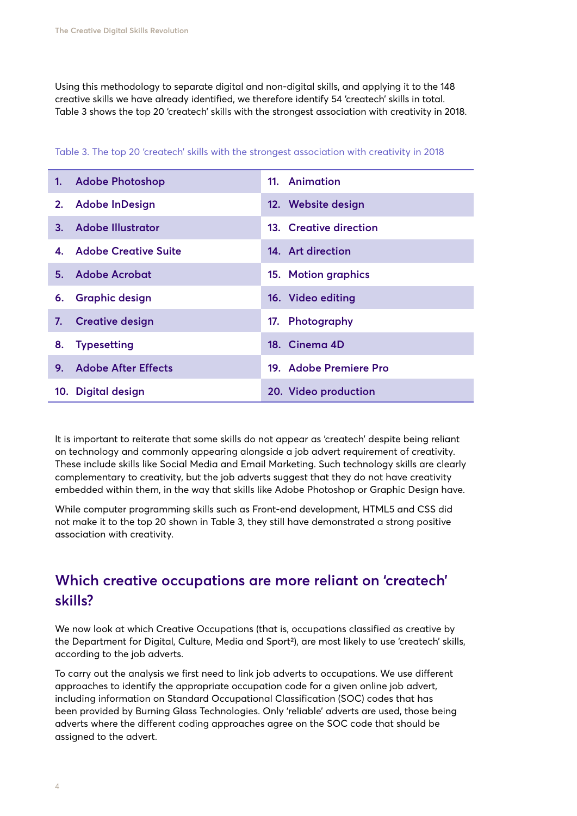Using this methodology to separate digital and non-digital skills, and applying it to the 148 creative skills we have already identified, we therefore identify 54 'createch' skills in total. Table 3 shows the top 20 'createch' skills with the strongest association with creativity in 2018.

|    | 1. Adobe Photoshop         | 11. Animation          |
|----|----------------------------|------------------------|
|    | 2. Adobe InDesign          | 12. Website design     |
|    | 3. Adobe Illustrator       | 13. Creative direction |
|    | 4. Adobe Creative Suite    | 14. Art direction      |
|    | 5. Adobe Acrobat           | 15. Motion graphics    |
|    | 6. Graphic design          | 16. Video editing      |
|    | 7. Creative design         | 17. Photography        |
|    | 8. Typesetting             | 18. Cinema 4D          |
| 9. | <b>Adobe After Effects</b> | 19. Adobe Premiere Pro |
|    | 10. Digital design         | 20. Video production   |

Table 3. The top 20 'createch' skills with the strongest association with creativity in 2018

It is important to reiterate that some skills do not appear as 'createch' despite being reliant on technology and commonly appearing alongside a job advert requirement of creativity. These include skills like Social Media and Email Marketing. Such technology skills are clearly complementary to creativity, but the job adverts suggest that they do not have creativity embedded within them, in the way that skills like Adobe Photoshop or Graphic Design have.

While computer programming skills such as Front-end development, HTML5 and CSS did not make it to the top 20 shown in Table 3, they still have demonstrated a strong positive association with creativity.

#### **Which creative occupations are more reliant on 'createch' skills?**

We now look at which Creative Occupations (that is, occupations classified as creative by the Department for Digital, Culture, Media and Sport2), are most likely to use 'createch' skills, according to the job adverts.

To carry out the analysis we first need to link job adverts to occupations. We use different approaches to identify the appropriate occupation code for a given online job advert, including information on Standard Occupational Classification (SOC) codes that has been provided by Burning Glass Technologies. Only 'reliable' adverts are used, those being adverts where the different coding approaches agree on the SOC code that should be assigned to the advert.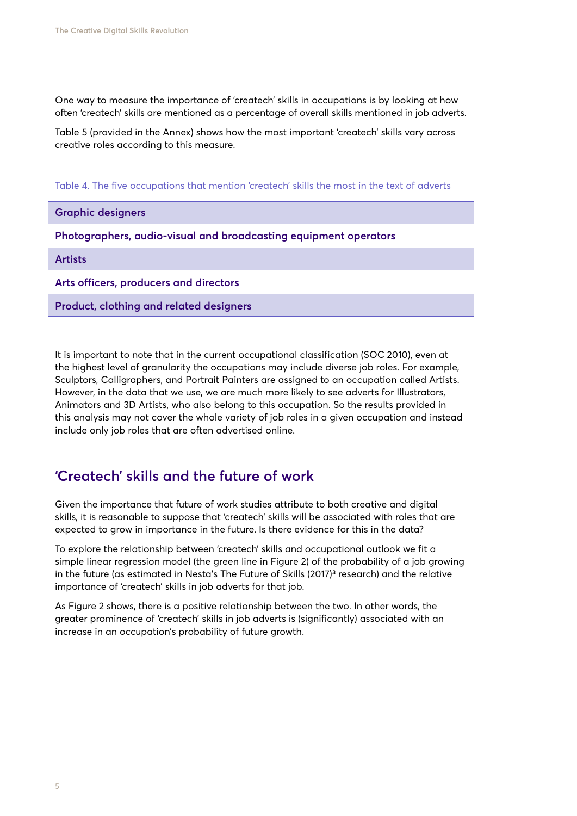One way to measure the importance of 'createch' skills in occupations is by looking at how often 'createch' skills are mentioned as a percentage of overall skills mentioned in job adverts.

Table 5 (provided in the Annex) shows how the most important 'createch' skills vary across creative roles according to this measure.

Table 4. The five occupations that mention 'createch' skills the most in the text of adverts

#### **Graphic designers**

**Photographers, audio-visual and broadcasting equipment operators**

#### **Artists**

**Arts officers, producers and directors**

**Product, clothing and related designers**

It is important to note that in the current occupational classification (SOC 2010), even at the highest level of granularity the occupations may include diverse job roles. For example, Sculptors, Calligraphers, and Portrait Painters are assigned to an occupation called Artists. However, in the data that we use, we are much more likely to see adverts for Illustrators, Animators and 3D Artists, who also belong to this occupation. So the results provided in this analysis may not cover the whole variety of job roles in a given occupation and instead include only job roles that are often advertised online.

# **'Createch' skills and the future of work**

Given the importance that future of work studies attribute to both creative and digital skills, it is reasonable to suppose that 'createch' skills will be associated with roles that are expected to grow in importance in the future. Is there evidence for this in the data?

To explore the relationship between 'createch' skills and occupational outlook we fit a simple linear regression model (the green line in Figure 2) of the probability of a job growing in the future (as estimated in Nesta's The Future of Skills (2017)<sup>3</sup> research) and the relative importance of 'createch' skills in job adverts for that job.

As Figure 2 shows, there is a positive relationship between the two. In other words, the greater prominence of 'createch' skills in job adverts is (significantly) associated with an increase in an occupation's probability of future growth.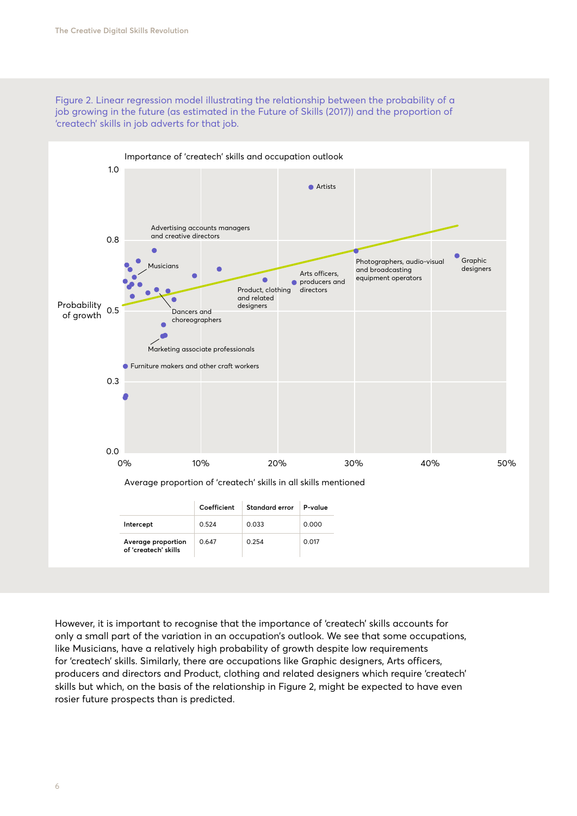



However, it is important to recognise that the importance of 'createch' skills accounts for only a small part of the variation in an occupation's outlook. We see that some occupations, like Musicians, have a relatively high probability of growth despite low requirements for 'createch' skills. Similarly, there are occupations like Graphic designers, Arts officers, producers and directors and Product, clothing and related designers which require 'createch' skills but which, on the basis of the relationship in Figure 2, might be expected to have even rosier future prospects than is predicted.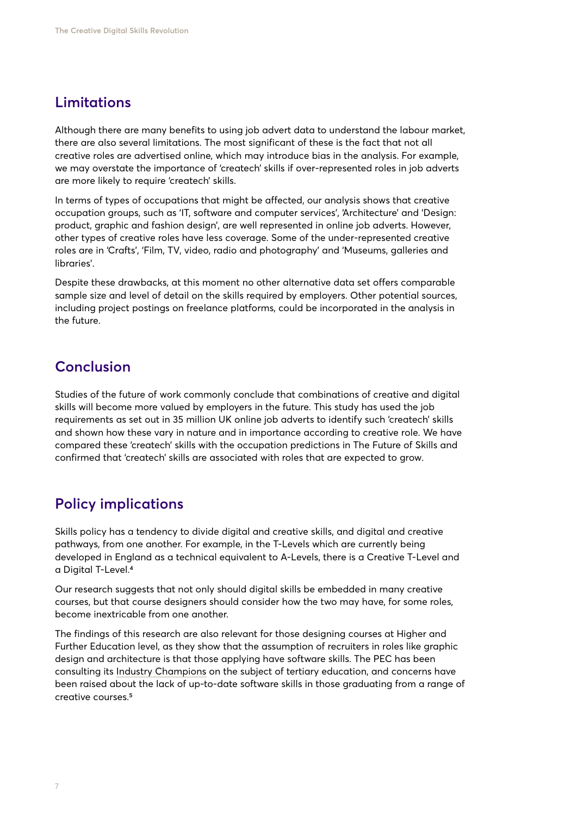#### **Limitations**

Although there are many benefits to using job advert data to understand the labour market, there are also several limitations. The most significant of these is the fact that not all creative roles are advertised online, which may introduce bias in the analysis. For example, we may overstate the importance of 'createch' skills if over-represented roles in job adverts are more likely to require 'createch' skills.

In terms of types of occupations that might be affected, our analysis shows that creative occupation groups, such as 'IT, software and computer services', 'Architecture' and 'Design: product, graphic and fashion design', are well represented in online job adverts. However, other types of creative roles have less coverage. Some of the under-represented creative roles are in 'Crafts', 'Film, TV, video, radio and photography' and 'Museums, galleries and libraries'.

Despite these drawbacks, at this moment no other alternative data set offers comparable sample size and level of detail on the skills required by employers. Other potential sources, including project postings on freelance platforms, could be incorporated in the analysis in the future.

#### **Conclusion**

Studies of the future of work commonly conclude that combinations of creative and digital skills will become more valued by employers in the future. This study has used the job requirements as set out in 35 million UK online job adverts to identify such 'createch' skills and shown how these vary in nature and in importance according to creative role. We have compared these 'createch' skills with the occupation predictions in The Future of Skills and confirmed that 'createch' skills are associated with roles that are expected to grow.

#### **Policy implications**

Skills policy has a tendency to divide digital and creative skills, and digital and creative pathways, from one another. For example, in the T-Levels which are currently being developed in England as a technical equivalent to A-Levels, there is a Creative T-Level and a Digital T-Level.4

Our research suggests that not only should digital skills be embedded in many creative courses, but that course designers should consider how the two may have, for some roles, become inextricable from one another.

The findings of this research are also relevant for those designing courses at Higher and Further Education level, as they show that the assumption of recruiters in roles like graphic design and architecture is that those applying have software skills. The PEC has been consulting its [Industry Champions](https://www.pec.ac.uk/policy-briefings/insights-from-our-industry-champions-the-value-of-creative-higher-and-further-education) on the subject of tertiary education, and concerns have been raised about the lack of up-to-date software skills in those graduating from a range of creative courses.5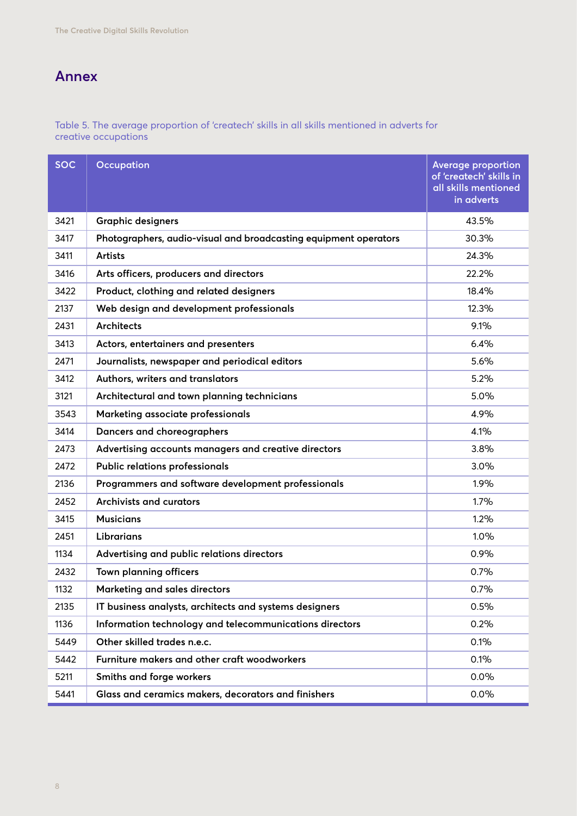# **Annex**

Table 5. The average proportion of 'createch' skills in all skills mentioned in adverts for creative occupations

| <b>SOC</b> | <b>Occupation</b>                                                | <b>Average proportion</b><br>of 'createch' skills in<br>all skills mentioned<br>in adverts |
|------------|------------------------------------------------------------------|--------------------------------------------------------------------------------------------|
| 3421       | <b>Graphic designers</b>                                         | 43.5%                                                                                      |
| 3417       | Photographers, audio-visual and broadcasting equipment operators | 30.3%                                                                                      |
| 3411       | <b>Artists</b>                                                   | 24.3%                                                                                      |
| 3416       | Arts officers, producers and directors                           | 22.2%                                                                                      |
| 3422       | Product, clothing and related designers                          | 18.4%                                                                                      |
| 2137       | Web design and development professionals                         | 12.3%                                                                                      |
| 2431       | <b>Architects</b>                                                | 9.1%                                                                                       |
| 3413       | Actors, entertainers and presenters                              | 6.4%                                                                                       |
| 2471       | Journalists, newspaper and periodical editors                    | 5.6%                                                                                       |
| 3412       | Authors, writers and translators                                 | 5.2%                                                                                       |
| 3121       | Architectural and town planning technicians                      | 5.0%                                                                                       |
| 3543       | Marketing associate professionals                                | 4.9%                                                                                       |
| 3414       | Dancers and choreographers                                       | 4.1%                                                                                       |
| 2473       | Advertising accounts managers and creative directors             | 3.8%                                                                                       |
| 2472       | <b>Public relations professionals</b>                            | 3.0%                                                                                       |
| 2136       | Programmers and software development professionals               | 1.9%                                                                                       |
| 2452       | Archivists and curators                                          | 1.7%                                                                                       |
| 3415       | <b>Musicians</b>                                                 | 1.2%                                                                                       |
| 2451       | Librarians                                                       | 1.0%                                                                                       |
| 1134       | Advertising and public relations directors                       | 0.9%                                                                                       |
| 2432       | Town planning officers                                           | 0.7%                                                                                       |
| 1132       | Marketing and sales directors                                    | 0.7%                                                                                       |
| 2135       | IT business analysts, architects and systems designers           | 0.5%                                                                                       |
| 1136       | Information technology and telecommunications directors          | 0.2%                                                                                       |
| 5449       | Other skilled trades n.e.c.                                      | 0.1%                                                                                       |
| 5442       | Furniture makers and other craft woodworkers                     | 0.1%                                                                                       |
| 5211       | Smiths and forge workers                                         | 0.0%                                                                                       |
| 5441       | Glass and ceramics makers, decorators and finishers              | 0.0%                                                                                       |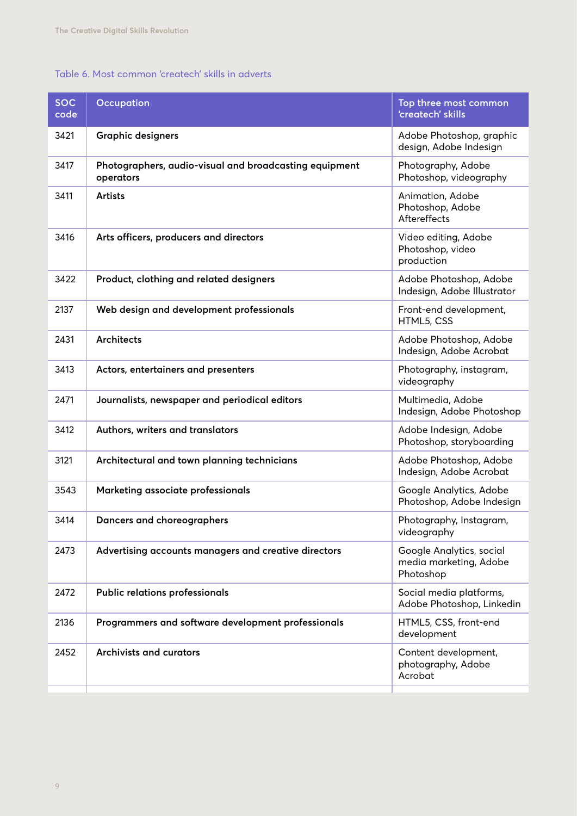#### Table 6. Most common 'createch' skills in adverts

| <b>SOC</b><br>code | <b>Occupation</b>                                                   | Top three most common<br>'createch' skills                      |
|--------------------|---------------------------------------------------------------------|-----------------------------------------------------------------|
| 3421               | <b>Graphic designers</b>                                            | Adobe Photoshop, graphic<br>design, Adobe Indesign              |
| 3417               | Photographers, audio-visual and broadcasting equipment<br>operators | Photography, Adobe<br>Photoshop, videography                    |
| 3411               | <b>Artists</b>                                                      | Animation, Adobe<br>Photoshop, Adobe<br>Aftereffects            |
| 3416               | Arts officers, producers and directors                              | Video editing, Adobe<br>Photoshop, video<br>production          |
| 3422               | Product, clothing and related designers                             | Adobe Photoshop, Adobe<br>Indesign, Adobe Illustrator           |
| 2137               | Web design and development professionals                            | Front-end development,<br>HTML5, CSS                            |
| 2431               | <b>Architects</b>                                                   | Adobe Photoshop, Adobe<br>Indesign, Adobe Acrobat               |
| 3413               | Actors, entertainers and presenters                                 | Photography, instagram,<br>videography                          |
| 2471               | Journalists, newspaper and periodical editors                       | Multimedia, Adobe<br>Indesign, Adobe Photoshop                  |
| 3412               | Authors, writers and translators                                    | Adobe Indesign, Adobe<br>Photoshop, storyboarding               |
| 3121               | Architectural and town planning technicians                         | Adobe Photoshop, Adobe<br>Indesign, Adobe Acrobat               |
| 3543               | Marketing associate professionals                                   | Google Analytics, Adobe<br>Photoshop, Adobe Indesign            |
| 3414               | Dancers and choreographers                                          | Photography, Instagram,<br>videography                          |
| 2473               | Advertising accounts managers and creative directors                | Google Analytics, social<br>media marketing, Adobe<br>Photoshop |
| 2472               | Public relations professionals                                      | Social media platforms,<br>Adobe Photoshop, Linkedin            |
| 2136               | Programmers and software development professionals                  | HTML5, CSS, front-end<br>development                            |
| 2452               | <b>Archivists and curators</b>                                      | Content development,<br>photography, Adobe<br>Acrobat           |
|                    |                                                                     |                                                                 |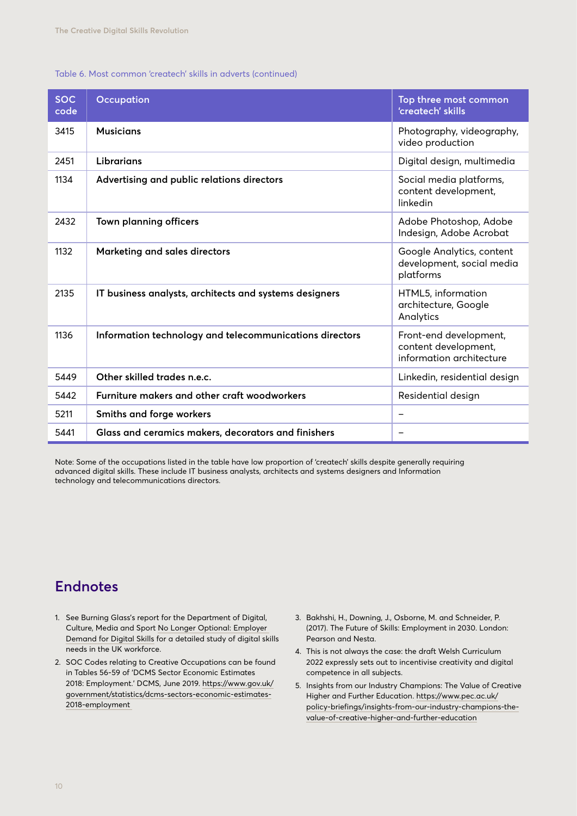#### Table 6. Most common 'createch' skills in adverts (continued)

| <b>SOC</b><br>code | <b>Occupation</b>                                       | Top three most common<br>'createch' skills                                 |
|--------------------|---------------------------------------------------------|----------------------------------------------------------------------------|
| 3415               | <b>Musicians</b>                                        | Photography, videography,<br>video production                              |
| 2451               | <b>Librarians</b>                                       | Digital design, multimedia                                                 |
| 1134               | Advertising and public relations directors              | Social media platforms,<br>content development,<br>linkedin                |
| 2432               | Town planning officers                                  | Adobe Photoshop, Adobe<br>Indesign, Adobe Acrobat                          |
| 1132               | Marketing and sales directors                           | Google Analytics, content<br>development, social media<br>platforms        |
| 2135               | IT business analysts, architects and systems designers  | HTML5, information<br>architecture, Google<br>Analytics                    |
| 1136               | Information technology and telecommunications directors | Front-end development,<br>content development,<br>information architecture |
| 5449               | Other skilled trades n.e.c.                             | Linkedin, residential design                                               |
| 5442               | Furniture makers and other craft woodworkers            | Residential design                                                         |
| 5211               | Smiths and forge workers                                |                                                                            |
| 5441               | Glass and ceramics makers, decorators and finishers     | $\overline{\phantom{0}}$                                                   |

Note: Some of the occupations listed in the table have low proportion of 'createch' skills despite generally requiring advanced digital skills. These include IT business analysts, architects and systems designers and Information technology and telecommunications directors.

# **Endnotes**

- 1. See Burning Glass's report for the Department of Digital, Culture, Media and Sport [No Longer Optional: Employer](https://www.burning-glass.com/wp-content/uploads/no_longer_optional_report.pdf)  [Demand for Digital Skills](https://www.burning-glass.com/wp-content/uploads/no_longer_optional_report.pdf) for a detailed study of digital skills needs in the UK workforce.
- 2. SOC Codes relating to Creative Occupations can be found in Tables 56-59 of 'DCMS Sector Economic Estimates 2018: Employment.' DCMS, June 2019. [https://www.gov.uk/](https://www.gov.uk/government/statistics/dcms-sectors-economic-estimates-2018-employment ) [government/statistics/dcms-sectors-economic-estimates-](https://www.gov.uk/government/statistics/dcms-sectors-economic-estimates-2018-employment )[2018-employment](https://www.gov.uk/government/statistics/dcms-sectors-economic-estimates-2018-employment )
- 3. Bakhshi, H., Downing, J., Osborne, M. and Schneider, P. (2017). The Future of Skills: Employment in 2030. London: Pearson and Nesta.
- 4. This is not always the case: the draft Welsh Curriculum 2022 expressly sets out to incentivise creativity and digital competence in all subjects.
- 5. Insights from our Industry Champions: The Value of Creative Higher and Further Education. [https://www.pec.ac.uk/](https://www.pec.ac.uk/policy-briefings/insights-from-our-industry-champions-the-value-of-creative-higher-and-further-education) [policy-briefings/insights-from-our-industry-champions-the](https://www.pec.ac.uk/policy-briefings/insights-from-our-industry-champions-the-value-of-creative-higher-and-further-education)[value-of-creative-higher-and-further-education](https://www.pec.ac.uk/policy-briefings/insights-from-our-industry-champions-the-value-of-creative-higher-and-further-education)